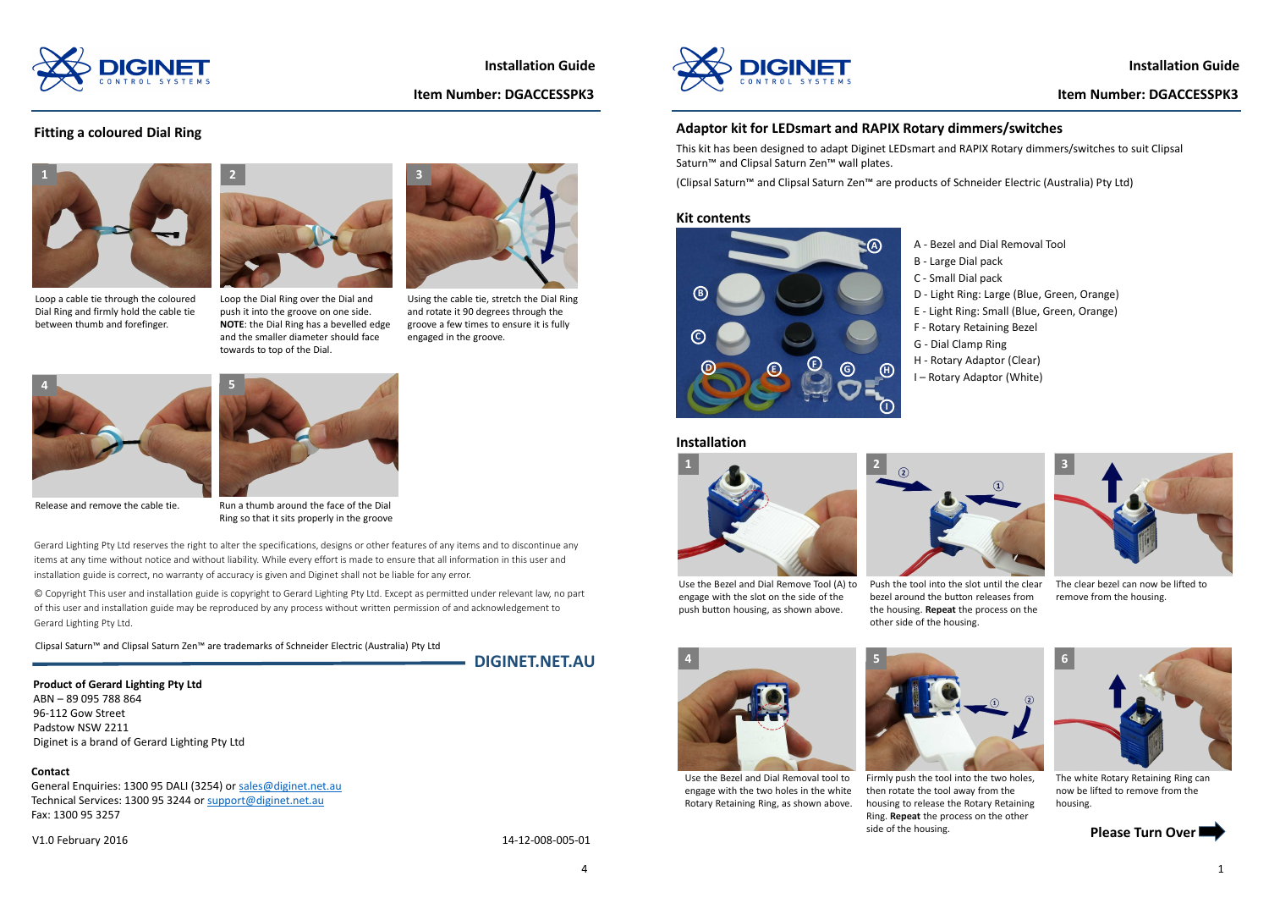# **Adaptor kit for LEDsmart and RAPIX Rotary dimmers/switches**



#### **Kit contents**

# **Installation**

# **Installation Guide**

# **Item Number: DGACCESSPK3**









- A Bezel and Dial Removal Tool
- B Large Dial pack
- C Small Dial pack
- D Light Ring: Large (Blue, Green, Orange)
- E Light Ring: Small (Blue, Green, Orange)
- F Rotary Retaining Bezel
- G Dial Clamp Ring
- H Rotary Adaptor (Clear)
- I Rotary Adaptor (White)

Use the Bezel and Dial Remove Tool (A) to engage with the slot on the side of the push button housing, as shown above.



Push the tool into the slot until the clear bezel around the button releases from the housing. **Repeat** the process on the other side of the housing.



The clear bezel can now be lifted to remove from the housing.



The white Rotary Retaining Ring can now be lifted to remove from the housing.

This kit has been designed to adapt Diginet LEDsmart and RAPIX Rotary dimmers/switches to suit ClipsalSaturn™ and Clipsal Saturn Zen™ wall plates.

(Clipsal Saturn™ and Clipsal Saturn Zen™ are products of Schneider Electric (Australia) Pty Ltd)

Firmly push the tool into the two holes, then rotate the tool away from the housing to release the Rotary Retaining Ring. **Repeat** the process on the other side of the housing.

General Enquiries: 1300 95 DALI (3254) or **sales@diginet.net.au** Technical Services: 1300 95 3244 or support@diginet.net.auFax: 1300 95 3257

Use the Bezel and Dial Removal tool to engage with the two holes in the white Rotary Retaining Ring, as shown above.

Clipsal Saturn™ and Clipsal Saturn Zen™ are trademarks of Schneider Electric (Australia) Pty Ltd

**DIGINET.NET.AU**

**Product of Gerard Lighting Pty Ltd**ABN – 89 095 788 86496-112 Gow Street Padstow NSW 2211Diginet is a brand of Gerard Lighting Pty Ltd

Gerard Lighting Pty Ltd reserves the right to alter the specifications, designs or other features of any items and to discontinue any items at any time without notice and without liability. While every effort is made to ensure that all information in this user and installation guide is correct, no warranty of accuracy is given and Diginet shall not be liable for any error.

© Copyright This user and installation guide is copyright to Gerard Lighting Pty Ltd. Except as permitted under relevant law, no part of this user and installation guide may be reproduced by any process without written permission of and acknowledgement to Gerard Lighting Pty Ltd.

V1.0 February 2016

14-12-008-005-01



#### **Contact**

Loop a cable tie through the coloured Dial Ring and firmly hold the cable tie between thumb and forefinger.

# **Fitting a coloured Dial Ring**



Loop the Dial Ring over the Dial and push it into the groove on one side. **NOTE**: the Dial Ring has a bevelled edge and the smaller diameter should face towards to top of the Dial.



Using the cable tie, stretch the Dial Ring and rotate it 90 degrees through the groove a few times to ensure it is fully engaged in the groove.

Ring so that it sits properly in the groove



Release and remove the cable tie. Run a thumb around the face of the Dial



4





**Installation Guide**

### **Item Number: DGACCESSPK3**